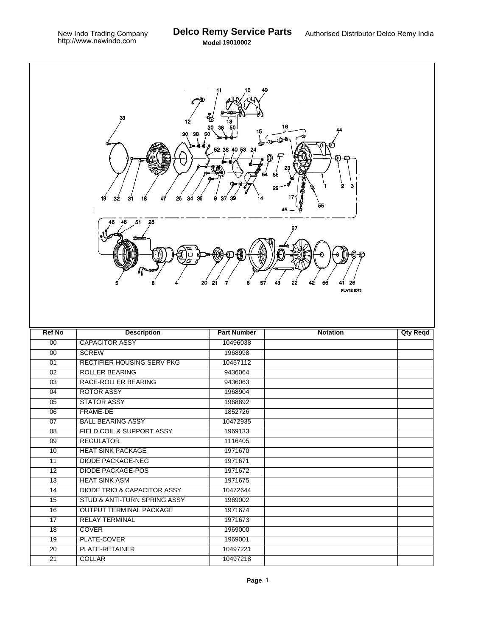T.

| 33<br>€<br>12<br>16<br>15<br>30<br>38<br>50<br>$\bigoplus_{i=1}^n \bigoplus_{i=1}^n \bigoplus_{i=1}^n \bigoplus_{i=1}^n \bigoplus_{i=1}^n \bigoplus_{i=1}^n \bigoplus_{i=1}^n \bigoplus_{i=1}^n \bigoplus_{i=1}^n \bigoplus_{i=1}^n \bigoplus_{i=1}^n \bigoplus_{i=1}^n \bigoplus_{i=1}^n \bigoplus_{i=1}^n \bigoplus_{i=1}^n \bigoplus_{i=1}^n \bigoplus_{i=1}^n \bigoplus_{i=1}^n \bigoplus_{i=1}^n \bigoplus_{i=1}^n$<br>52 36 40 53 24<br>з<br>2<br>29<br>32<br>31<br>25<br>34<br>19<br>18<br>47<br>35<br>37<br>14<br>9<br>39<br>55<br>1<br>28<br>48<br>51<br>J)<br>Φ<br>6<br>57<br>43<br>20<br>21<br>22<br>42<br>56<br>7<br>26<br><b>PLATE 6073</b> |                                        |                      |                 |                 |  |  |  |
|----------------------------------------------------------------------------------------------------------------------------------------------------------------------------------------------------------------------------------------------------------------------------------------------------------------------------------------------------------------------------------------------------------------------------------------------------------------------------------------------------------------------------------------------------------------------------------------------------------------------------------------------------------|----------------------------------------|----------------------|-----------------|-----------------|--|--|--|
| <b>Ref No</b>                                                                                                                                                                                                                                                                                                                                                                                                                                                                                                                                                                                                                                            | <b>Description</b>                     | <b>Part Number</b>   | <b>Notation</b> | <b>Qty Reqd</b> |  |  |  |
| 00                                                                                                                                                                                                                                                                                                                                                                                                                                                                                                                                                                                                                                                       | <b>CAPACITOR ASSY</b>                  | 10496038             |                 |                 |  |  |  |
| $\overline{00}$                                                                                                                                                                                                                                                                                                                                                                                                                                                                                                                                                                                                                                          | <b>SCREW</b>                           | 1968998              |                 |                 |  |  |  |
| $\overline{01}$                                                                                                                                                                                                                                                                                                                                                                                                                                                                                                                                                                                                                                          | RECTIFIER HOUSING SERV PKG             | 10457112             |                 |                 |  |  |  |
| $\overline{02}$                                                                                                                                                                                                                                                                                                                                                                                                                                                                                                                                                                                                                                          | <b>ROLLER BEARING</b>                  | 9436064              |                 |                 |  |  |  |
| 03                                                                                                                                                                                                                                                                                                                                                                                                                                                                                                                                                                                                                                                       | RACE-ROLLER BEARING                    | 9436063              |                 |                 |  |  |  |
| 04                                                                                                                                                                                                                                                                                                                                                                                                                                                                                                                                                                                                                                                       | <b>ROTOR ASSY</b>                      | 1968904              |                 |                 |  |  |  |
| $\overline{05}$                                                                                                                                                                                                                                                                                                                                                                                                                                                                                                                                                                                                                                          | <b>STATOR ASSY</b>                     | 1968892              |                 |                 |  |  |  |
| 06                                                                                                                                                                                                                                                                                                                                                                                                                                                                                                                                                                                                                                                       | FRAME-DE                               | 1852726              |                 |                 |  |  |  |
| 07                                                                                                                                                                                                                                                                                                                                                                                                                                                                                                                                                                                                                                                       | <b>BALL BEARING ASSY</b>               | 10472935             |                 |                 |  |  |  |
| 08                                                                                                                                                                                                                                                                                                                                                                                                                                                                                                                                                                                                                                                       | FIELD COIL & SUPPORT ASSY              | 1969133              |                 |                 |  |  |  |
| 09                                                                                                                                                                                                                                                                                                                                                                                                                                                                                                                                                                                                                                                       | <b>REGULATOR</b>                       | 1116405              |                 |                 |  |  |  |
| 10                                                                                                                                                                                                                                                                                                                                                                                                                                                                                                                                                                                                                                                       | <b>HEAT SINK PACKAGE</b>               | 1971670              |                 |                 |  |  |  |
| 11                                                                                                                                                                                                                                                                                                                                                                                                                                                                                                                                                                                                                                                       | <b>DIODE PACKAGE-NEG</b>               | 1971671              |                 |                 |  |  |  |
| 12                                                                                                                                                                                                                                                                                                                                                                                                                                                                                                                                                                                                                                                       | <b>DIODE PACKAGE-POS</b>               | 1971672              |                 |                 |  |  |  |
| 13                                                                                                                                                                                                                                                                                                                                                                                                                                                                                                                                                                                                                                                       | <b>HEAT SINK ASM</b>                   | 1971675              |                 |                 |  |  |  |
| 14                                                                                                                                                                                                                                                                                                                                                                                                                                                                                                                                                                                                                                                       | <b>DIODE TRIO &amp; CAPACITOR ASSY</b> | 10472644             |                 |                 |  |  |  |
| 15                                                                                                                                                                                                                                                                                                                                                                                                                                                                                                                                                                                                                                                       | STUD & ANTI-TURN SPRING ASSY           | 1969002              |                 |                 |  |  |  |
| 16                                                                                                                                                                                                                                                                                                                                                                                                                                                                                                                                                                                                                                                       | <b>OUTPUT TERMINAL PACKAGE</b>         | 1971674              |                 |                 |  |  |  |
| 17                                                                                                                                                                                                                                                                                                                                                                                                                                                                                                                                                                                                                                                       | <b>RELAY TERMINAL</b>                  | 1971673              |                 |                 |  |  |  |
| 18                                                                                                                                                                                                                                                                                                                                                                                                                                                                                                                                                                                                                                                       | <b>COVER</b>                           | 1969000              |                 |                 |  |  |  |
| 19                                                                                                                                                                                                                                                                                                                                                                                                                                                                                                                                                                                                                                                       |                                        |                      |                 |                 |  |  |  |
|                                                                                                                                                                                                                                                                                                                                                                                                                                                                                                                                                                                                                                                          | PLATE-COVER                            | 1969001              |                 |                 |  |  |  |
| $\overline{20}$<br>$\overline{21}$                                                                                                                                                                                                                                                                                                                                                                                                                                                                                                                                                                                                                       | PLATE-RETAINER<br>COLLAR               | 10497221<br>10497218 |                 |                 |  |  |  |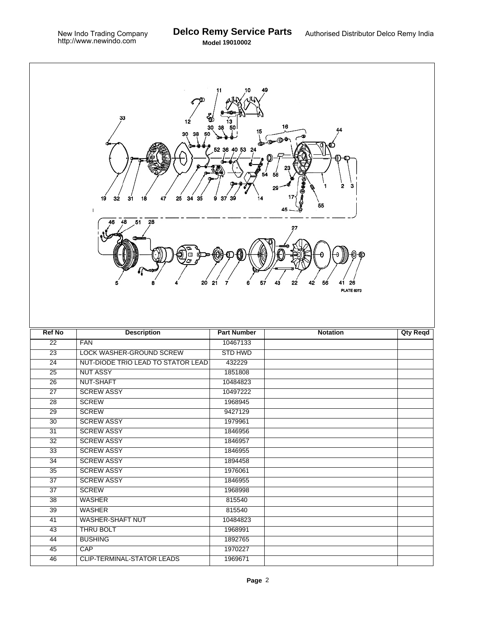| 33<br>₩<br>12<br>16<br>30<br>15<br>30<br>$\mathbf{d} = \mathbf{0}$<br>52<br>40 53 24<br>36<br>2<br>з<br>29<br>25<br>34 35<br>19<br>31<br>18<br>47<br>32<br>37<br>9<br>14<br>55<br>45<br>$\mathbf{1}$<br>48<br>51 28<br>46<br>27<br>θ<br>α<br>57<br>43<br>22<br>20<br>21<br>6<br>42<br>56<br>7<br>26<br>41<br><b>PLATE 6073</b> |                                    |                    |                 |                 |  |  |  |
|--------------------------------------------------------------------------------------------------------------------------------------------------------------------------------------------------------------------------------------------------------------------------------------------------------------------------------|------------------------------------|--------------------|-----------------|-----------------|--|--|--|
| <b>Ref No</b>                                                                                                                                                                                                                                                                                                                  | <b>Description</b>                 | <b>Part Number</b> | <b>Notation</b> | <b>Qty Reqd</b> |  |  |  |
| $\overline{22}$                                                                                                                                                                                                                                                                                                                | <b>FAN</b>                         | 10467133           |                 |                 |  |  |  |
| $\overline{23}$                                                                                                                                                                                                                                                                                                                | LOCK WASHER-GROUND SCREW           | <b>STD HWD</b>     |                 |                 |  |  |  |
| $\overline{24}$                                                                                                                                                                                                                                                                                                                | NUT-DIODE TRIO LEAD TO STATOR LEAD | 432229             |                 |                 |  |  |  |
| $\overline{25}$                                                                                                                                                                                                                                                                                                                | <b>NUT ASSY</b>                    | 1851808            |                 |                 |  |  |  |
| 26                                                                                                                                                                                                                                                                                                                             | NUT-SHAFT                          | 10484823           |                 |                 |  |  |  |
| $\overline{27}$                                                                                                                                                                                                                                                                                                                | <b>SCREW ASSY</b>                  | 10497222           |                 |                 |  |  |  |
| $\overline{28}$                                                                                                                                                                                                                                                                                                                | <b>SCREW</b>                       | 1968945            |                 |                 |  |  |  |
| 29                                                                                                                                                                                                                                                                                                                             | <b>SCREW</b>                       | 9427129            |                 |                 |  |  |  |
| 30                                                                                                                                                                                                                                                                                                                             | <b>SCREW ASSY</b>                  | 1979961            |                 |                 |  |  |  |
| 31                                                                                                                                                                                                                                                                                                                             | <b>SCREW ASSY</b>                  | 1846956            |                 |                 |  |  |  |
| 32                                                                                                                                                                                                                                                                                                                             | <b>SCREW ASSY</b>                  | 1846957            |                 |                 |  |  |  |
| $\overline{33}$                                                                                                                                                                                                                                                                                                                | <b>SCREW ASSY</b>                  | 1846955            |                 |                 |  |  |  |
| $\overline{34}$                                                                                                                                                                                                                                                                                                                | <b>SCREW ASSY</b>                  | 1894458            |                 |                 |  |  |  |
| $\overline{35}$                                                                                                                                                                                                                                                                                                                | <b>SCREW ASSY</b>                  | 1976061            |                 |                 |  |  |  |
| $\overline{37}$                                                                                                                                                                                                                                                                                                                | <b>SCREW ASSY</b>                  | 1846955            |                 |                 |  |  |  |
| $\overline{37}$                                                                                                                                                                                                                                                                                                                | <b>SCREW</b>                       | 1968998            |                 |                 |  |  |  |
| $\overline{38}$                                                                                                                                                                                                                                                                                                                | <b>WASHER</b>                      | 815540             |                 |                 |  |  |  |
| $\overline{39}$                                                                                                                                                                                                                                                                                                                | <b>WASHER</b>                      | 815540             |                 |                 |  |  |  |
| 41                                                                                                                                                                                                                                                                                                                             | <b>WASHER-SHAFT NUT</b>            | 10484823           |                 |                 |  |  |  |
| $\overline{43}$                                                                                                                                                                                                                                                                                                                | <b>THRU BOLT</b>                   | 1968991            |                 |                 |  |  |  |
| $\overline{44}$                                                                                                                                                                                                                                                                                                                | <b>BUSHING</b>                     | 1892765            |                 |                 |  |  |  |
| 45                                                                                                                                                                                                                                                                                                                             | CAP                                | 1970227            |                 |                 |  |  |  |
|                                                                                                                                                                                                                                                                                                                                |                                    |                    |                 |                 |  |  |  |